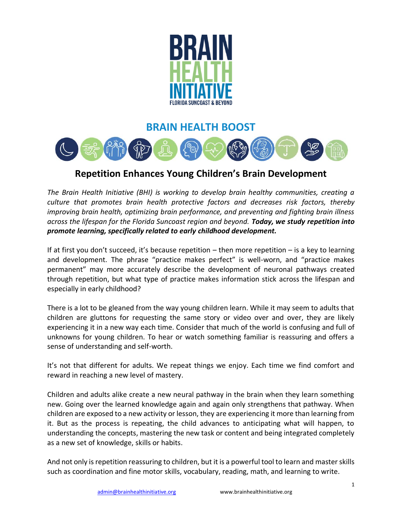

## **BRAIN HEALTH BOOST**



## **Repetition Enhances Young Children's Brain Development**

*The Brain Health Initiative (BHI) is working to develop brain healthy communities, creating a culture that promotes brain health protective factors and decreases risk factors, thereby improving brain health, optimizing brain performance, and preventing and fighting brain illness across the lifespan for the Florida Suncoast region and beyond. Today, we study repetition into promote learning, specifically related to early childhood development.*

If at first you don't succeed, it's because repetition – then more repetition – is a key to learning and development. The phrase "practice makes perfect" is well-worn, and "practice makes permanent" may more accurately describe the development of neuronal pathways created through repetition, but what type of practice makes information stick across the lifespan and especially in early childhood?

There is a lot to be gleaned from the way young children learn. While it may seem to adults that children are gluttons for requesting the same story or video over and over, they are likely experiencing it in a new way each time. Consider that much of the world is confusing and full of unknowns for young children. To hear or watch something familiar is reassuring and offers a sense of understanding and self-worth.

It's not that different for adults. We repeat things we enjoy. Each time we find comfort and reward in reaching a new level of mastery.

Children and adults alike create a new neural pathway in the brain when they learn something new. Going over the learned knowledge again and again only strengthens that pathway. When children are exposed to a new activity or lesson, they are experiencing it more than learning from it. But as the process is repeating, the child advances to anticipating what will happen, to understanding the concepts, mastering the new task or content and being integrated completely as a new set of knowledge, skills or habits.

And not only is repetition reassuring to children, but it is a powerful tool to learn and master skills such as coordination and fine motor skills, vocabulary, reading, math, and learning to write.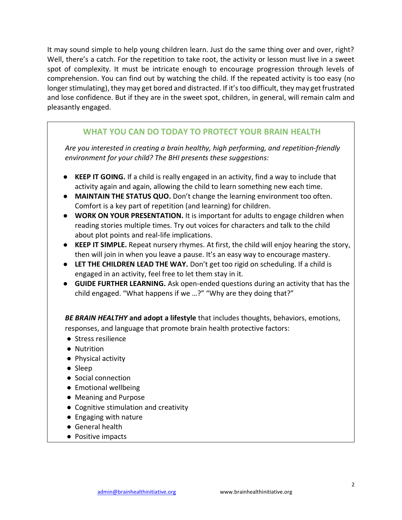It may sound simple to help young children learn. Just do the same thing over and over, right? Well, there's a catch. For the repetition to take root, the activity or lesson must live in a sweet spot of complexity. It must be intricate enough to encourage progression through levels of comprehension. You can find out by watching the child. If the repeated activity is too easy (no longer stimulating), they may get bored and distracted. If it's too difficult, they may get frustrated and lose confidence. But if they are in the sweet spot, children, in general, will remain calm and pleasantly engaged.

## **WHAT YOU CAN DO TODAY TO PROTECT YOUR BRAIN HEALTH**

*Are you interested in creating a brain healthy, high performing, and repetition-friendly environment for your child? The BHI presents these suggestions:*

- **KEEP IT GOING.** If a child is really engaged in an activity, find a way to include that activity again and again, allowing the child to learn something new each time.
- **MAINTAIN THE STATUS QUO.** Don't change the learning environment too often. Comfort is a key part of repetition (and learning) for children.
- **WORK ON YOUR PRESENTATION.** It is important for adults to engage children when reading stories multiple times. Try out voices for characters and talk to the child about plot points and real-life implications.
- **KEEP IT SIMPLE.** Repeat nursery rhymes. At first, the child will enjoy hearing the story, then will join in when you leave a pause. It's an easy way to encourage mastery.
- **LET THE CHILDREN LEAD THE WAY.** Don't get too rigid on scheduling. If a child is engaged in an activity, feel free to let them stay in it.
- **GUIDE FURTHER LEARNING.** Ask open-ended questions during an activity that has the child engaged. "What happens if we …?" "Why are they doing that?"

*BE BRAIN HEALTHY* **and adopt a lifestyle** that includes thoughts, behaviors, emotions, responses, and language that promote brain health protective factors:

- Stress resilience
- Nutrition
- Physical activity
- Sleep
- Social connection
- Emotional wellbeing
- Meaning and Purpose
- Cognitive stimulation and creativity
- Engaging with nature
- General health
- Positive impacts